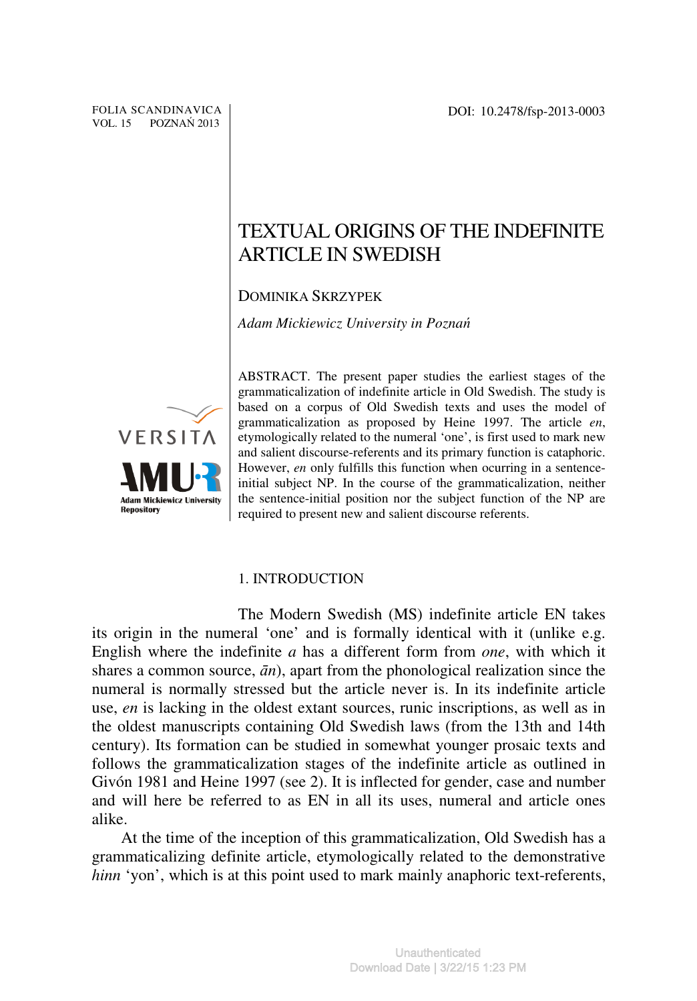# TEXTUAL ORIGINS OF THE INDEFINITE ARTICLE IN SWEDISH

DOMINIKA SKRZYPEK

*Adam Mickiewicz University in Pozna*ń



ABSTRACT. The present paper studies the earliest stages of the grammaticalization of indefinite article in Old Swedish. The study is based on a corpus of Old Swedish texts and uses the model of grammaticalization as proposed by Heine 1997. The article *en*, etymologically related to the numeral 'one', is first used to mark new and salient discourse-referents and its primary function is cataphoric. However, *en* only fulfills this function when ocurring in a sentenceinitial subject NP. In the course of the grammaticalization, neither the sentence-initial position nor the subject function of the NP are required to present new and salient discourse referents.

## 1. INTRODUCTION

The Modern Swedish (MS) indefinite article EN takes its origin in the numeral 'one' and is formally identical with it (unlike e.g. English where the indefinite *a* has a different form from *one*, with which it shares a common source,  $\bar{a}n$ ), apart from the phonological realization since the numeral is normally stressed but the article never is. In its indefinite article use, *en* is lacking in the oldest extant sources, runic inscriptions, as well as in the oldest manuscripts containing Old Swedish laws (from the 13th and 14th century). Its formation can be studied in somewhat younger prosaic texts and follows the grammaticalization stages of the indefinite article as outlined in Givón 1981 and Heine 1997 (see 2). It is inflected for gender, case and number and will here be referred to as EN in all its uses, numeral and article ones alike.

At the time of the inception of this grammaticalization, Old Swedish has a grammaticalizing definite article, etymologically related to the demonstrative *hinn* 'yon', which is at this point used to mark mainly anaphoric text-referents,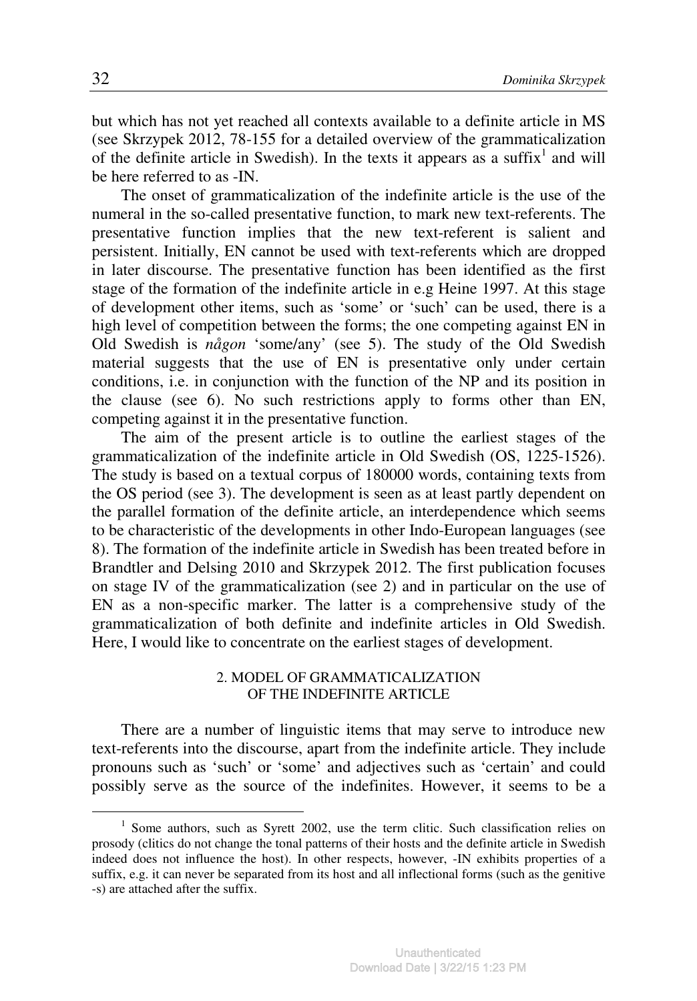but which has not yet reached all contexts available to a definite article in MS (see Skrzypek 2012, 78-155 for a detailed overview of the grammaticalization of the definite article in Swedish). In the texts it appears as a suffix<sup>1</sup> and will be here referred to as -IN.

The onset of grammaticalization of the indefinite article is the use of the numeral in the so-called presentative function, to mark new text-referents. The presentative function implies that the new text-referent is salient and persistent. Initially, EN cannot be used with text-referents which are dropped in later discourse. The presentative function has been identified as the first stage of the formation of the indefinite article in e.g Heine 1997. At this stage of development other items, such as 'some' or 'such' can be used, there is a high level of competition between the forms; the one competing against EN in Old Swedish is *någon* 'some/any' (see 5). The study of the Old Swedish material suggests that the use of EN is presentative only under certain conditions, i.e. in conjunction with the function of the NP and its position in the clause (see 6). No such restrictions apply to forms other than EN, competing against it in the presentative function.

The aim of the present article is to outline the earliest stages of the grammaticalization of the indefinite article in Old Swedish (OS, 1225-1526). The study is based on a textual corpus of 180000 words, containing texts from the OS period (see 3). The development is seen as at least partly dependent on the parallel formation of the definite article, an interdependence which seems to be characteristic of the developments in other Indo-European languages (see 8). The formation of the indefinite article in Swedish has been treated before in Brandtler and Delsing 2010 and Skrzypek 2012. The first publication focuses on stage IV of the grammaticalization (see 2) and in particular on the use of EN as a non-specific marker. The latter is a comprehensive study of the grammaticalization of both definite and indefinite articles in Old Swedish. Here, I would like to concentrate on the earliest stages of development.

# 2. MODEL OF GRAMMATICALIZATION OF THE INDEFINITE ARTICLE

There are a number of linguistic items that may serve to introduce new text-referents into the discourse, apart from the indefinite article. They include pronouns such as 'such' or 'some' and adjectives such as 'certain' and could possibly serve as the source of the indefinites. However, it seems to be a

 $\overline{a}$ 

 $1$  Some authors, such as Syrett 2002, use the term clitic. Such classification relies on prosody (clitics do not change the tonal patterns of their hosts and the definite article in Swedish indeed does not influence the host). In other respects, however, -IN exhibits properties of a suffix, e.g. it can never be separated from its host and all inflectional forms (such as the genitive -s) are attached after the suffix.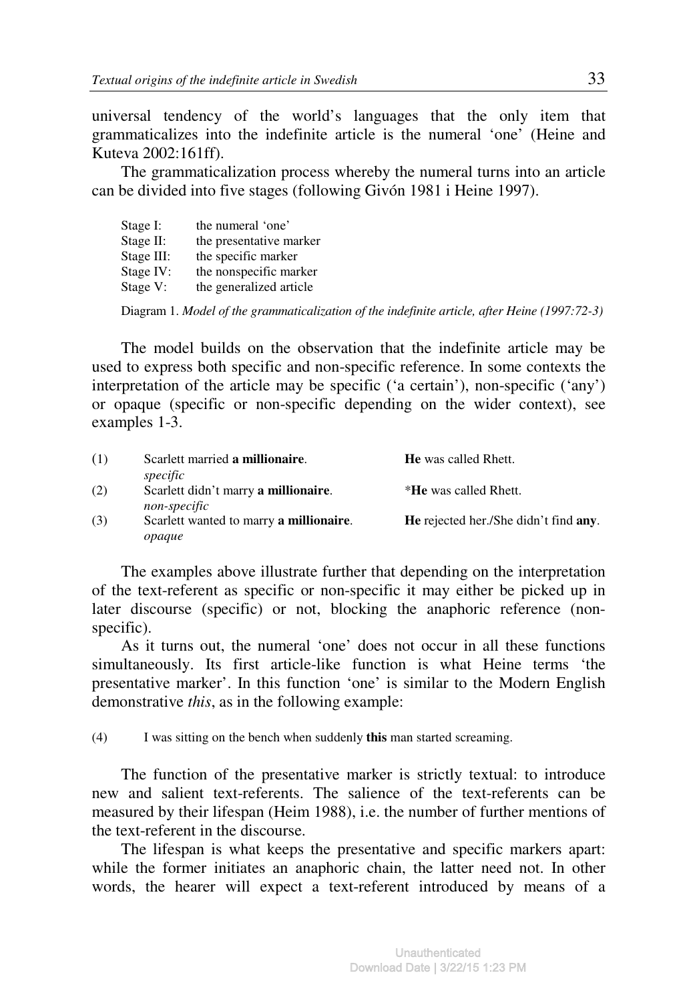universal tendency of the world's languages that the only item that grammaticalizes into the indefinite article is the numeral 'one' (Heine and Kuteva 2002:161ff).

The grammaticalization process whereby the numeral turns into an article can be divided into five stages (following Givón 1981 i Heine 1997).

| Stage I:   | the numeral 'one'       |
|------------|-------------------------|
| Stage II:  | the presentative marker |
| Stage III: | the specific marker     |
| Stage IV:  | the nonspecific marker  |
| Stage V:   | the generalized article |

Diagram 1. *Model of the grammaticalization of the indefinite article, after Heine (1997:72-3)* 

The model builds on the observation that the indefinite article may be used to express both specific and non-specific reference. In some contexts the interpretation of the article may be specific ('a certain'), non-specific ('any') or opaque (specific or non-specific depending on the wider context), see examples 1-3.

| (1) | Scarlett married a millionaire.         | <b>He</b> was called Rhett.                          |
|-----|-----------------------------------------|------------------------------------------------------|
|     | specific                                |                                                      |
| (2) | Scarlett didn't marry a millionaire.    | *He was called Rhett.                                |
|     | non-specific                            |                                                      |
| (3) | Scarlett wanted to marry a millionaire. | <b>He</b> rejected her./She didn't find <b>any</b> . |
|     | opaque                                  |                                                      |

The examples above illustrate further that depending on the interpretation of the text-referent as specific or non-specific it may either be picked up in later discourse (specific) or not, blocking the anaphoric reference (nonspecific).

As it turns out, the numeral 'one' does not occur in all these functions simultaneously. Its first article-like function is what Heine terms 'the presentative marker'. In this function 'one' is similar to the Modern English demonstrative *this*, as in the following example:

(4) I was sitting on the bench when suddenly **this** man started screaming.

The function of the presentative marker is strictly textual: to introduce new and salient text-referents. The salience of the text-referents can be measured by their lifespan (Heim 1988), i.e. the number of further mentions of the text-referent in the discourse.

The lifespan is what keeps the presentative and specific markers apart: while the former initiates an anaphoric chain, the latter need not. In other words, the hearer will expect a text-referent introduced by means of a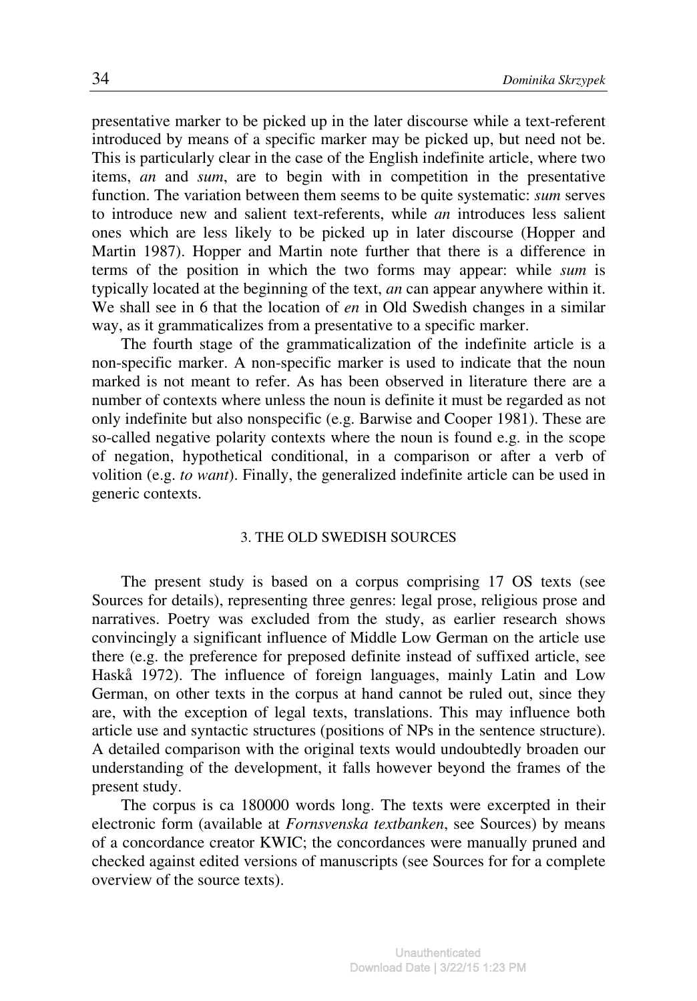presentative marker to be picked up in the later discourse while a text-referent introduced by means of a specific marker may be picked up, but need not be. This is particularly clear in the case of the English indefinite article, where two items, *an* and *sum*, are to begin with in competition in the presentative function. The variation between them seems to be quite systematic: *sum* serves to introduce new and salient text-referents, while *an* introduces less salient ones which are less likely to be picked up in later discourse (Hopper and Martin 1987). Hopper and Martin note further that there is a difference in terms of the position in which the two forms may appear: while *sum* is typically located at the beginning of the text, *an* can appear anywhere within it. We shall see in 6 that the location of *en* in Old Swedish changes in a similar way, as it grammaticalizes from a presentative to a specific marker.

The fourth stage of the grammaticalization of the indefinite article is a non-specific marker. A non-specific marker is used to indicate that the noun marked is not meant to refer. As has been observed in literature there are a number of contexts where unless the noun is definite it must be regarded as not only indefinite but also nonspecific (e.g. Barwise and Cooper 1981). These are so-called negative polarity contexts where the noun is found e.g. in the scope of negation, hypothetical conditional, in a comparison or after a verb of volition (e.g. *to want*). Finally, the generalized indefinite article can be used in generic contexts.

#### 3. THE OLD SWEDISH SOURCES

The present study is based on a corpus comprising 17 OS texts (see Sources for details), representing three genres: legal prose, religious prose and narratives. Poetry was excluded from the study, as earlier research shows convincingly a significant influence of Middle Low German on the article use there (e.g. the preference for preposed definite instead of suffixed article, see Haskå 1972). The influence of foreign languages, mainly Latin and Low German, on other texts in the corpus at hand cannot be ruled out, since they are, with the exception of legal texts, translations. This may influence both article use and syntactic structures (positions of NPs in the sentence structure). A detailed comparison with the original texts would undoubtedly broaden our understanding of the development, it falls however beyond the frames of the present study.

The corpus is ca 180000 words long. The texts were excerpted in their electronic form (available at *Fornsvenska textbanken*, see Sources) by means of a concordance creator KWIC; the concordances were manually pruned and checked against edited versions of manuscripts (see Sources for for a complete overview of the source texts).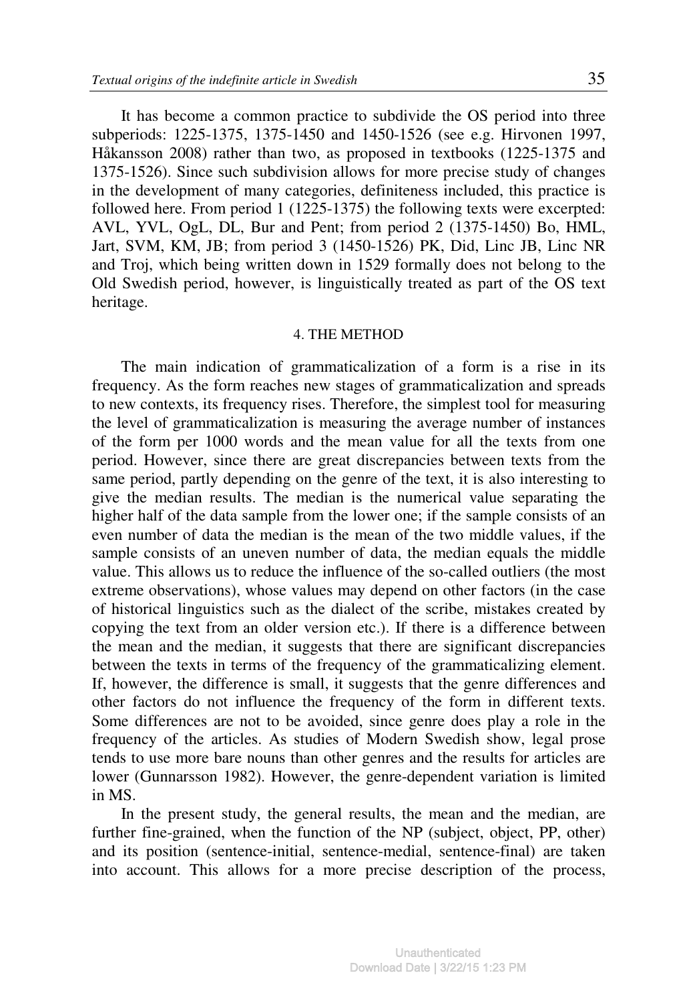It has become a common practice to subdivide the OS period into three subperiods: 1225-1375, 1375-1450 and 1450-1526 (see e.g. Hirvonen 1997, Håkansson 2008) rather than two, as proposed in textbooks (1225-1375 and 1375-1526). Since such subdivision allows for more precise study of changes in the development of many categories, definiteness included, this practice is followed here. From period 1 (1225-1375) the following texts were excerpted: AVL, YVL, OgL, DL, Bur and Pent; from period 2 (1375-1450) Bo, HML, Jart, SVM, KM, JB; from period 3 (1450-1526) PK, Did, Linc JB, Linc NR and Troj, which being written down in 1529 formally does not belong to the Old Swedish period, however, is linguistically treated as part of the OS text heritage.

#### 4. THE METHOD

The main indication of grammaticalization of a form is a rise in its frequency. As the form reaches new stages of grammaticalization and spreads to new contexts, its frequency rises. Therefore, the simplest tool for measuring the level of grammaticalization is measuring the average number of instances of the form per 1000 words and the mean value for all the texts from one period. However, since there are great discrepancies between texts from the same period, partly depending on the genre of the text, it is also interesting to give the median results. The median is the numerical value separating the higher half of the data sample from the lower one; if the sample consists of an even number of data the median is the mean of the two middle values, if the sample consists of an uneven number of data, the median equals the middle value. This allows us to reduce the influence of the so-called outliers (the most extreme observations), whose values may depend on other factors (in the case of historical linguistics such as the dialect of the scribe, mistakes created by copying the text from an older version etc.). If there is a difference between the mean and the median, it suggests that there are significant discrepancies between the texts in terms of the frequency of the grammaticalizing element. If, however, the difference is small, it suggests that the genre differences and other factors do not influence the frequency of the form in different texts. Some differences are not to be avoided, since genre does play a role in the frequency of the articles. As studies of Modern Swedish show, legal prose tends to use more bare nouns than other genres and the results for articles are lower (Gunnarsson 1982). However, the genre-dependent variation is limited in MS.

In the present study, the general results, the mean and the median, are further fine-grained, when the function of the NP (subject, object, PP, other) and its position (sentence-initial, sentence-medial, sentence-final) are taken into account. This allows for a more precise description of the process,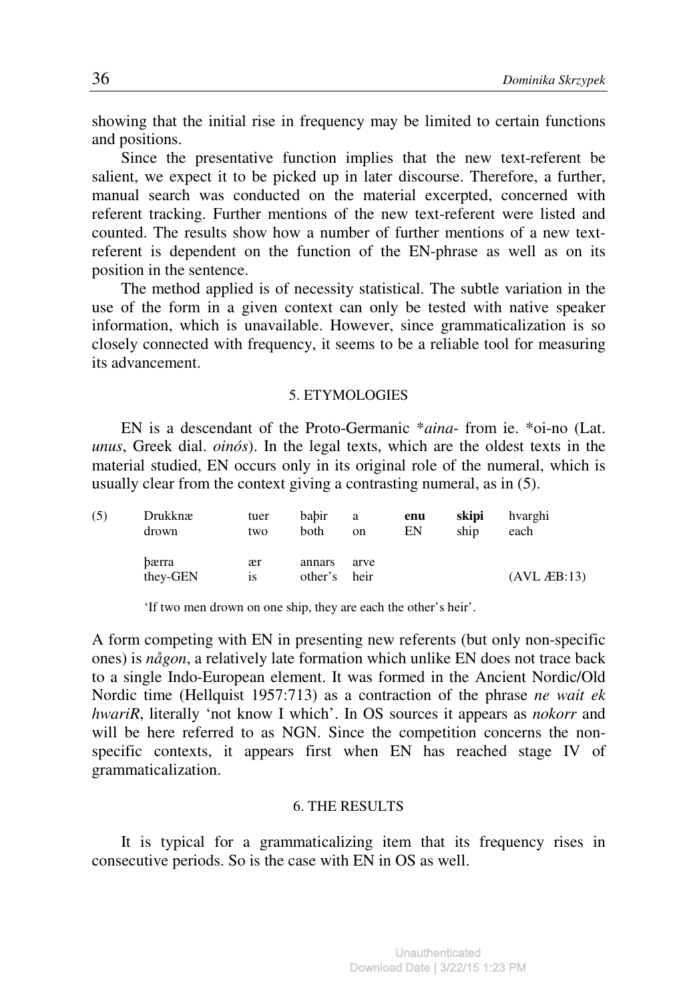showing that the initial rise in frequency may be limited to certain functions and positions.

Since the presentative function implies that the new text-referent be salient, we expect it to be picked up in later discourse. Therefore, a further, manual search was conducted on the material excerpted, concerned with referent tracking. Further mentions of the new text-referent were listed and counted. The results show how a number of further mentions of a new textreferent is dependent on the function of the EN-phrase as well as on its position in the sentence.

The method applied is of necessity statistical. The subtle variation in the use of the form in a given context can only be tested with native speaker information, which is unavailable. However, since grammaticalization is so closely connected with frequency, it seems to be a reliable tool for measuring its advancement.

## 5. ETYMOLOGIES

EN is a descendant of the Proto-Germanic \**aina*- from ie. \*oi-no (Lat. *unus*, Greek dial. *oinós*). In the legal texts, which are the oldest texts in the material studied, EN occurs only in its original role of the numeral, which is usually clear from the context giving a contrasting numeral, as in (5).

| (5) | Drukknæ           | tuer     | babir             | a            | enu | skipi | hvarghi                |
|-----|-------------------|----------|-------------------|--------------|-----|-------|------------------------|
|     | drown             | two      | both              | on           | EN  | ship  | each                   |
|     | bærra<br>they-GEN | ær<br>1S | annars<br>other's | arve<br>heir |     |       | $(AVL$ <i>A</i> EB:13) |

'If two men drown on one ship, they are each the other's heir'.

A form competing with EN in presenting new referents (but only non-specific ones) is *någon*, a relatively late formation which unlike EN does not trace back to a single Indo-European element. It was formed in the Ancient Nordic/Old Nordic time (Hellquist 1957:713) as a contraction of the phrase *ne wait ek hwariR*, literally 'not know I which'. In OS sources it appears as *nokorr* and will be here referred to as NGN. Since the competition concerns the nonspecific contexts, it appears first when EN has reached stage IV of grammaticalization.

#### 6. THE RESULTS

It is typical for a grammaticalizing item that its frequency rises in consecutive periods. So is the case with EN in OS as well.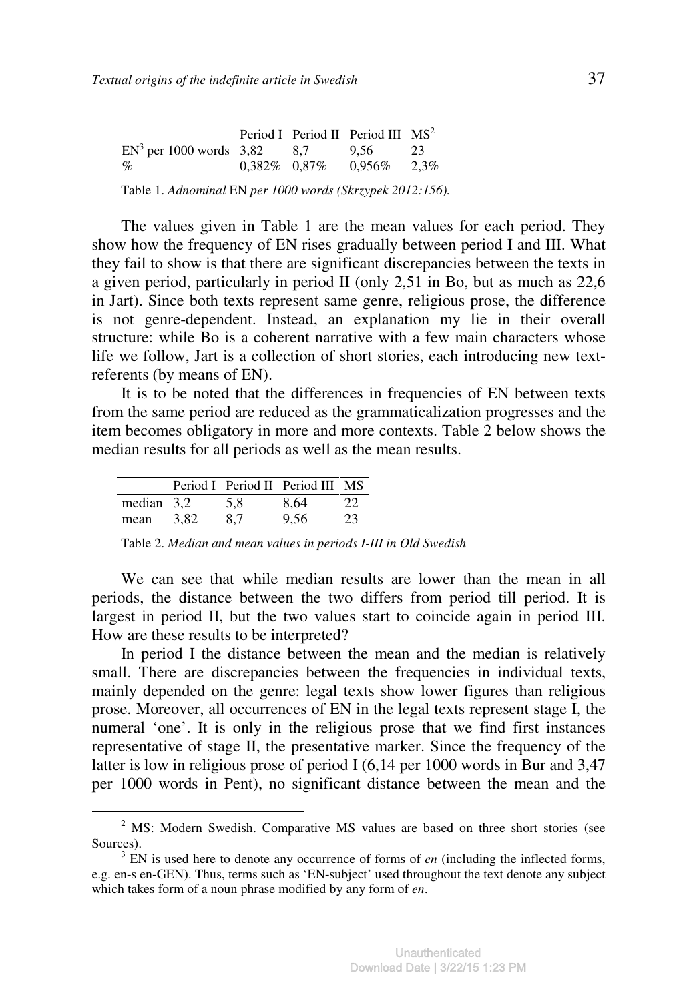|                                       |                 |     | Period I Period II Period III $MS2$ |         |
|---------------------------------------|-----------------|-----|-------------------------------------|---------|
| $\overline{EN^3}$ per 1000 words 3,82 |                 | 8.7 | 9.56                                | 23      |
| $\%$                                  | $0.382\%$ 0.87% |     | $0.956\%$                           | $2.3\%$ |

Table 1. *Adnominal* EN *per 1000 words (Skrzypek 2012:156).* 

The values given in Table 1 are the mean values for each period. They show how the frequency of EN rises gradually between period I and III. What they fail to show is that there are significant discrepancies between the texts in a given period, particularly in period II (only 2,51 in Bo, but as much as 22,6 in Jart). Since both texts represent same genre, religious prose, the difference is not genre-dependent. Instead, an explanation my lie in their overall structure: while Bo is a coherent narrative with a few main characters whose life we follow, Jart is a collection of short stories, each introducing new textreferents (by means of EN).

It is to be noted that the differences in frequencies of EN between texts from the same period are reduced as the grammaticalization progresses and the item becomes obligatory in more and more contexts. Table 2 below shows the median results for all periods as well as the mean results.

|            |      |     | Period I Period II Period III MS |    |
|------------|------|-----|----------------------------------|----|
| median 3.2 |      | 5.8 | 8,64                             | 22 |
| mean       | 3.82 | 8.7 | 9.56                             | 23 |

 $\overline{a}$ 

Table 2. *Median and mean values in periods I-III in Old Swedish* 

We can see that while median results are lower than the mean in all periods, the distance between the two differs from period till period. It is largest in period II, but the two values start to coincide again in period III. How are these results to be interpreted?

In period I the distance between the mean and the median is relatively small. There are discrepancies between the frequencies in individual texts, mainly depended on the genre: legal texts show lower figures than religious prose. Moreover, all occurrences of EN in the legal texts represent stage I, the numeral 'one'. It is only in the religious prose that we find first instances representative of stage II, the presentative marker. Since the frequency of the latter is low in religious prose of period I (6,14 per 1000 words in Bur and 3,47 per 1000 words in Pent), no significant distance between the mean and the

 $2^2$  MS: Modern Swedish. Comparative MS values are based on three short stories (see Sources).

 $3$  EN is used here to denote any occurrence of forms of *en* (including the inflected forms, e.g. en-s en-GEN). Thus, terms such as 'EN-subject' used throughout the text denote any subject which takes form of a noun phrase modified by any form of *en*.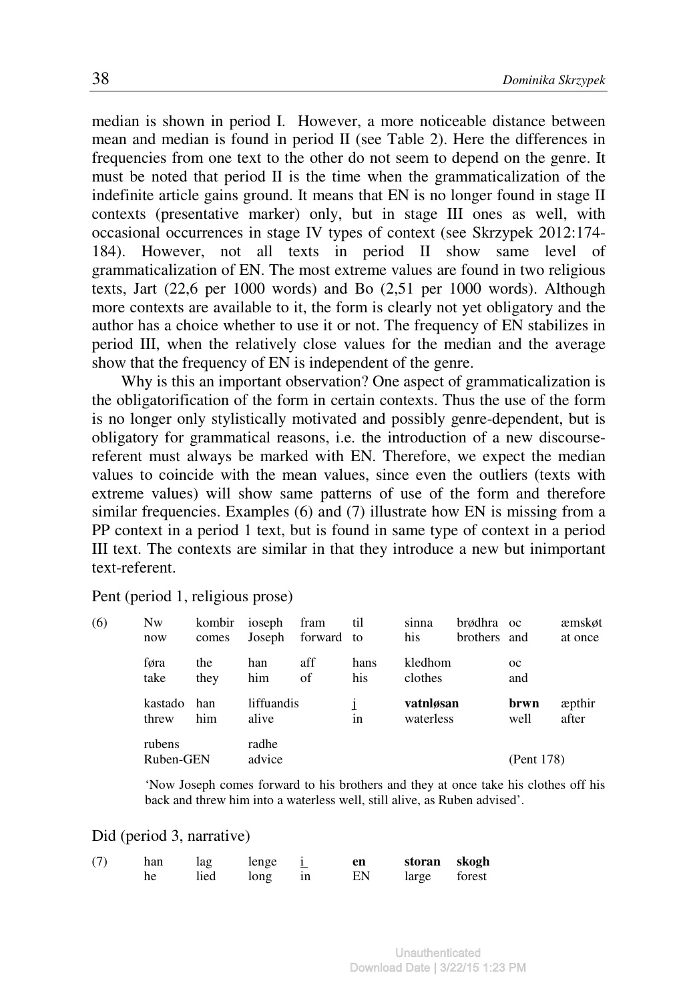median is shown in period I. However, a more noticeable distance between mean and median is found in period II (see Table 2). Here the differences in frequencies from one text to the other do not seem to depend on the genre. It must be noted that period II is the time when the grammaticalization of the indefinite article gains ground. It means that EN is no longer found in stage II contexts (presentative marker) only, but in stage III ones as well, with occasional occurrences in stage IV types of context (see Skrzypek 2012:174- 184). However, not all texts in period II show same level of grammaticalization of EN. The most extreme values are found in two religious texts, Jart (22,6 per 1000 words) and Bo (2,51 per 1000 words). Although more contexts are available to it, the form is clearly not yet obligatory and the author has a choice whether to use it or not. The frequency of EN stabilizes in period III, when the relatively close values for the median and the average show that the frequency of EN is independent of the genre.

Why is this an important observation? One aspect of grammaticalization is the obligatorification of the form in certain contexts. Thus the use of the form is no longer only stylistically motivated and possibly genre-dependent, but is obligatory for grammatical reasons, i.e. the introduction of a new discoursereferent must always be marked with EN. Therefore, we expect the median values to coincide with the mean values, since even the outliers (texts with extreme values) will show same patterns of use of the form and therefore similar frequencies. Examples (6) and (7) illustrate how EN is missing from a PP context in a period 1 text, but is found in same type of context in a period III text. The contexts are similar in that they introduce a new but inimportant text-referent.

Pent (period 1, religious prose)

| (6) | Nw<br>now           | kombir<br>comes | ioseph<br>Joseph    | fram<br>forward to | til         | sinna<br>his           | brødhra oc<br>brothers and |                    | æmskøt<br>at once       |
|-----|---------------------|-----------------|---------------------|--------------------|-------------|------------------------|----------------------------|--------------------|-------------------------|
|     | føra<br>take        | the<br>they     | han<br>him          | aff<br>of          | hans<br>his | kledhom<br>clothes     |                            | $_{\rm oc}$<br>and |                         |
|     | kastado<br>threw    | han<br>him      | liffuandis<br>alive |                    | 1n          | vatnløsan<br>waterless |                            | brwn<br>well       | <i>a</i> pthir<br>after |
|     | rubens<br>Ruben-GEN |                 | radhe<br>advice     |                    |             |                        |                            | (Pent 178)         |                         |

'Now Joseph comes forward to his brothers and they at once take his clothes off his back and threw him into a waterless well, still alive, as Ruben advised'.

#### Did (period 3, narrative)

| (7) | han | lag  | lenge |    | en | storan skogh |  |
|-----|-----|------|-------|----|----|--------------|--|
|     | he  | lied | long  | 1n | EN | large forest |  |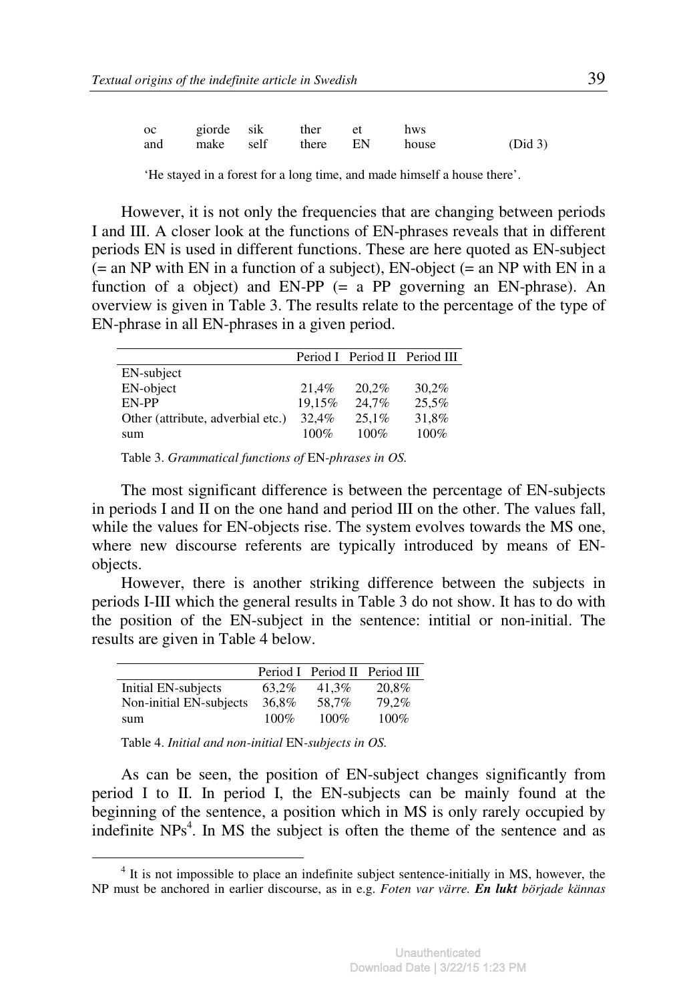| <b>oc</b> |  | giorde sik ther et           | hws |         |
|-----------|--|------------------------------|-----|---------|
|           |  | and make self there EN house |     | (Did 3) |

'He stayed in a forest for a long time, and made himself a house there'.

However, it is not only the frequencies that are changing between periods I and III. A closer look at the functions of EN-phrases reveals that in different periods EN is used in different functions. These are here quoted as EN-subject  $(=$  an NP with EN in a function of a subject), EN-object  $(=$  an NP with EN in a function of a object) and EN-PP (= a PP governing an EN-phrase). An overview is given in Table 3. The results relate to the percentage of the type of EN-phrase in all EN-phrases in a given period.

|                                   |         |         | Period I Period II Period III |
|-----------------------------------|---------|---------|-------------------------------|
| EN-subject                        |         |         |                               |
| EN-object                         | 21.4%   | 20.2%   | $30.2\%$                      |
| EN-PP                             | 19.15%  | 24.7%   | 25,5%                         |
| Other (attribute, adverbial etc.) | 32.4%   | 25.1%   | 31,8%                         |
| sum                               | $100\%$ | $100\%$ | $100\%$                       |

Table 3. *Grammatical functions of* EN*-phrases in OS.* 

The most significant difference is between the percentage of EN-subjects in periods I and II on the one hand and period III on the other. The values fall, while the values for EN-objects rise. The system evolves towards the MS one, where new discourse referents are typically introduced by means of ENobjects.

However, there is another striking difference between the subjects in periods I-III which the general results in Table 3 do not show. It has to do with the position of the EN-subject in the sentence: intitial or non-initial. The results are given in Table 4 below.

|                         |         |         | Period I Period II Period III |
|-------------------------|---------|---------|-------------------------------|
| Initial EN-subjects     | 63.2%   | 41.3%   | 20.8%                         |
| Non-initial EN-subjects | 36.8%   | 58.7%   | 79.2%                         |
| sum                     | $100\%$ | $100\%$ | $100\%$                       |

Table 4. *Initial and non-initial* EN*-subjects in OS.* 

 $\overline{a}$ 

As can be seen, the position of EN-subject changes significantly from period I to II. In period I, the EN-subjects can be mainly found at the beginning of the sentence, a position which in MS is only rarely occupied by indefinite NPs<sup>4</sup>. In MS the subject is often the theme of the sentence and as

<sup>&</sup>lt;sup>4</sup> It is not impossible to place an indefinite subject sentence-initially in MS, however, the NP must be anchored in earlier discourse, as in e.g. *Foten var värre. En lukt började kännas*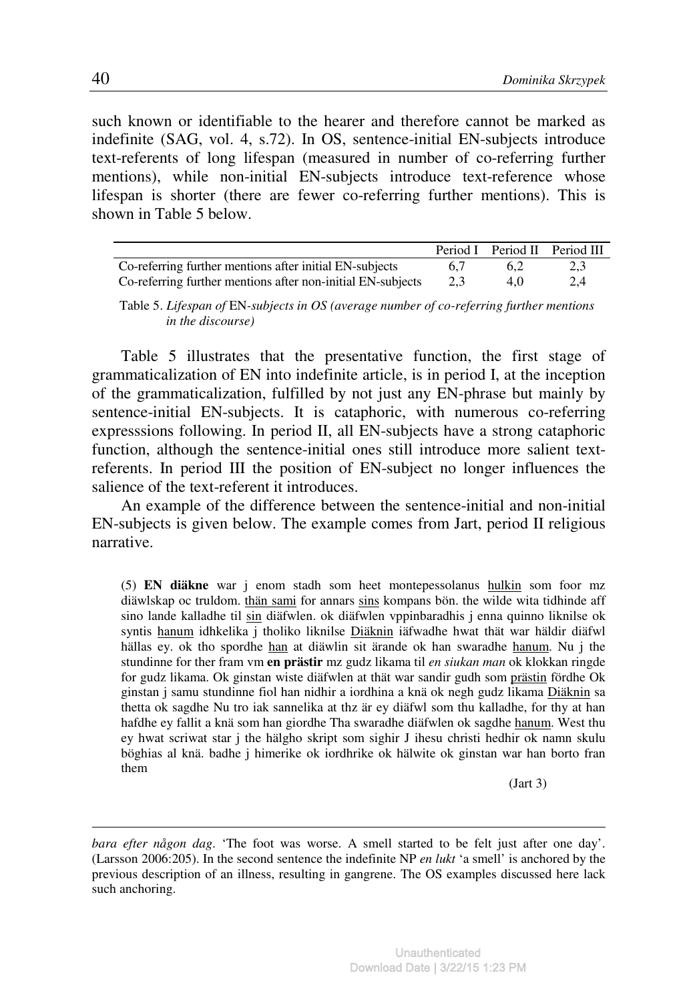such known or identifiable to the hearer and therefore cannot be marked as indefinite (SAG, vol. 4, s.72). In OS, sentence-initial EN-subjects introduce text-referents of long lifespan (measured in number of co-referring further mentions), while non-initial EN-subjects introduce text-reference whose lifespan is shorter (there are fewer co-referring further mentions). This is shown in Table 5 below.

|                                                             |     |     | Period I Period II Period III |
|-------------------------------------------------------------|-----|-----|-------------------------------|
| Co-referring further mentions after initial EN-subjects     | 6.7 | 6.2 | 2.3                           |
| Co-referring further mentions after non-initial EN-subjects | 2.3 | 4.0 | 2.4                           |

Table 5. *Lifespan of* EN*-subjects in OS (average number of co-referring further mentions in the discourse)* 

Table 5 illustrates that the presentative function, the first stage of grammaticalization of EN into indefinite article, is in period I, at the inception of the grammaticalization, fulfilled by not just any EN-phrase but mainly by sentence-initial EN-subjects. It is cataphoric, with numerous co-referring expresssions following. In period II, all EN-subjects have a strong cataphoric function, although the sentence-initial ones still introduce more salient textreferents. In period III the position of EN-subject no longer influences the salience of the text-referent it introduces.

An example of the difference between the sentence-initial and non-initial EN-subjects is given below. The example comes from Jart, period II religious narrative.

(5) **EN diäkne** war j enom stadh som heet montepessolanus hulkin som foor mz diäwlskap oc truldom. thän sami for annars sins kompans bön. the wilde wita tidhinde aff sino lande kalladhe til sin diäfwlen. ok diäfwlen vppinbaradhis j enna quinno liknilse ok syntis hanum idhkelika j tholiko liknilse Diäknin iäfwadhe hwat thät war häldir diäfwl hällas ey. ok tho spordhe han at diäwlin sit ärande ok han swaradhe hanum. Nu j the stundinne for ther fram vm **en prästir** mz gudz likama til *en siukan man* ok klokkan ringde for gudz likama. Ok ginstan wiste diäfwlen at thät war sandir gudh som prästin fördhe Ok ginstan j samu stundinne fiol han nidhir a iordhina a knä ok negh gudz likama Diäknin sa thetta ok sagdhe Nu tro iak sannelika at thz är ey diäfwl som thu kalladhe, for thy at han hafdhe ey fallit a knä som han giordhe Tha swaradhe diäfwlen ok sagdhe hanum. West thu ey hwat scriwat star j the hälgho skript som sighir J ihesu christi hedhir ok namn skulu böghias al knä. badhe j himerike ok iordhrike ok hälwite ok ginstan war han borto fran them

(Jart 3)

 $\overline{a}$ 

*bara efter någon dag*. 'The foot was worse. A smell started to be felt just after one day'. (Larsson 2006:205). In the second sentence the indefinite NP *en lukt* 'a smell' is anchored by the previous description of an illness, resulting in gangrene. The OS examples discussed here lack such anchoring.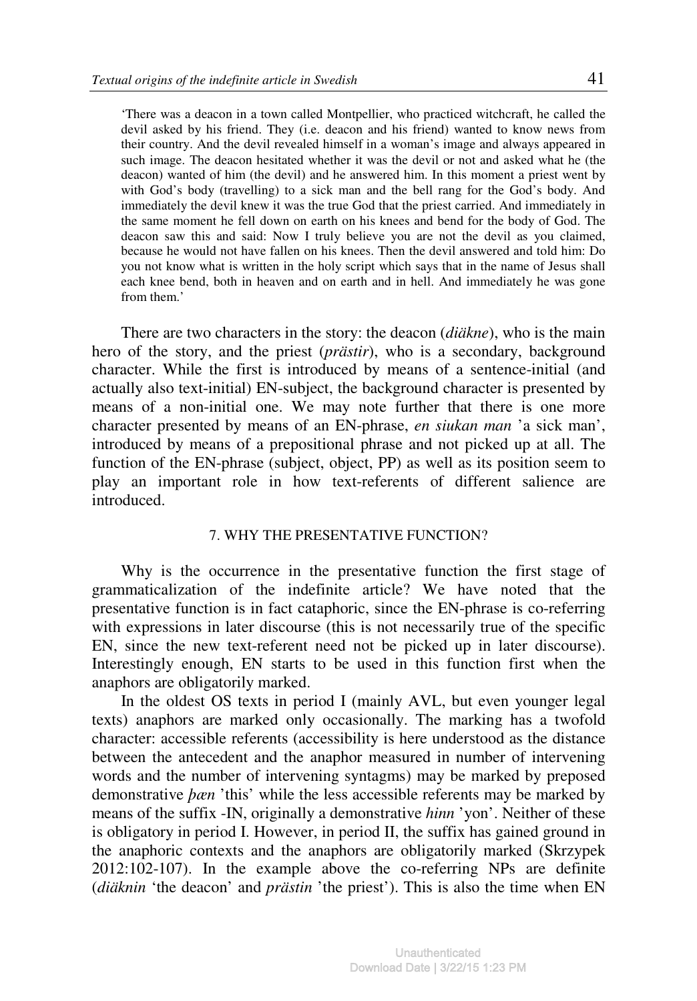'There was a deacon in a town called Montpellier, who practiced witchcraft, he called the devil asked by his friend. They (i.e. deacon and his friend) wanted to know news from their country. And the devil revealed himself in a woman's image and always appeared in such image. The deacon hesitated whether it was the devil or not and asked what he (the deacon) wanted of him (the devil) and he answered him. In this moment a priest went by with God's body (travelling) to a sick man and the bell rang for the God's body. And immediately the devil knew it was the true God that the priest carried. And immediately in the same moment he fell down on earth on his knees and bend for the body of God. The deacon saw this and said: Now I truly believe you are not the devil as you claimed, because he would not have fallen on his knees. Then the devil answered and told him: Do you not know what is written in the holy script which says that in the name of Jesus shall each knee bend, both in heaven and on earth and in hell. And immediately he was gone from them.'

There are two characters in the story: the deacon (*diäkne*), who is the main hero of the story, and the priest (*prästir*), who is a secondary, background character. While the first is introduced by means of a sentence-initial (and actually also text-initial) EN-subject, the background character is presented by means of a non-initial one. We may note further that there is one more character presented by means of an EN-phrase, *en siukan man* 'a sick man', introduced by means of a prepositional phrase and not picked up at all. The function of the EN-phrase (subject, object, PP) as well as its position seem to play an important role in how text-referents of different salience are introduced.

# 7. WHY THE PRESENTATIVE FUNCTION?

Why is the occurrence in the presentative function the first stage of grammaticalization of the indefinite article? We have noted that the presentative function is in fact cataphoric, since the EN-phrase is co-referring with expressions in later discourse (this is not necessarily true of the specific EN, since the new text-referent need not be picked up in later discourse). Interestingly enough, EN starts to be used in this function first when the anaphors are obligatorily marked.

In the oldest OS texts in period I (mainly AVL, but even younger legal texts) anaphors are marked only occasionally. The marking has a twofold character: accessible referents (accessibility is here understood as the distance between the antecedent and the anaphor measured in number of intervening words and the number of intervening syntagms) may be marked by preposed demonstrative *þæn* 'this' while the less accessible referents may be marked by means of the suffix -IN, originally a demonstrative *hinn* 'yon'. Neither of these is obligatory in period I. However, in period II, the suffix has gained ground in the anaphoric contexts and the anaphors are obligatorily marked (Skrzypek 2012:102-107). In the example above the co-referring NPs are definite (*diäknin* 'the deacon' and *prästin* 'the priest'). This is also the time when EN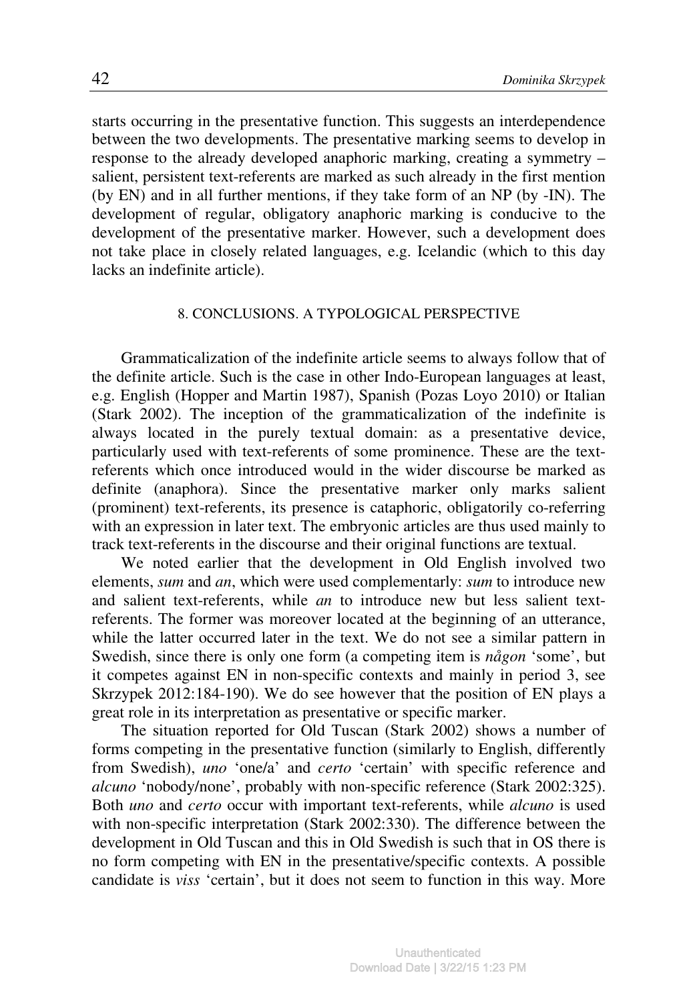starts occurring in the presentative function. This suggests an interdependence between the two developments. The presentative marking seems to develop in response to the already developed anaphoric marking, creating a symmetry – salient, persistent text-referents are marked as such already in the first mention (by EN) and in all further mentions, if they take form of an NP (by -IN). The development of regular, obligatory anaphoric marking is conducive to the development of the presentative marker. However, such a development does not take place in closely related languages, e.g. Icelandic (which to this day lacks an indefinite article).

#### 8. CONCLUSIONS. A TYPOLOGICAL PERSPECTIVE

Grammaticalization of the indefinite article seems to always follow that of the definite article. Such is the case in other Indo-European languages at least, e.g. English (Hopper and Martin 1987), Spanish (Pozas Loyo 2010) or Italian (Stark 2002). The inception of the grammaticalization of the indefinite is always located in the purely textual domain: as a presentative device, particularly used with text-referents of some prominence. These are the textreferents which once introduced would in the wider discourse be marked as definite (anaphora). Since the presentative marker only marks salient (prominent) text-referents, its presence is cataphoric, obligatorily co-referring with an expression in later text. The embryonic articles are thus used mainly to track text-referents in the discourse and their original functions are textual.

We noted earlier that the development in Old English involved two elements, *sum* and *an*, which were used complementarly: *sum* to introduce new and salient text-referents, while *an* to introduce new but less salient textreferents. The former was moreover located at the beginning of an utterance, while the latter occurred later in the text. We do not see a similar pattern in Swedish, since there is only one form (a competing item is *någon* 'some', but it competes against EN in non-specific contexts and mainly in period 3, see Skrzypek 2012:184-190). We do see however that the position of EN plays a great role in its interpretation as presentative or specific marker.

The situation reported for Old Tuscan (Stark 2002) shows a number of forms competing in the presentative function (similarly to English, differently from Swedish), *uno* 'one/a' and *certo* 'certain' with specific reference and *alcuno* 'nobody/none', probably with non-specific reference (Stark 2002:325). Both *uno* and *certo* occur with important text-referents, while *alcuno* is used with non-specific interpretation (Stark 2002:330). The difference between the development in Old Tuscan and this in Old Swedish is such that in OS there is no form competing with EN in the presentative/specific contexts. A possible candidate is *viss* 'certain', but it does not seem to function in this way. More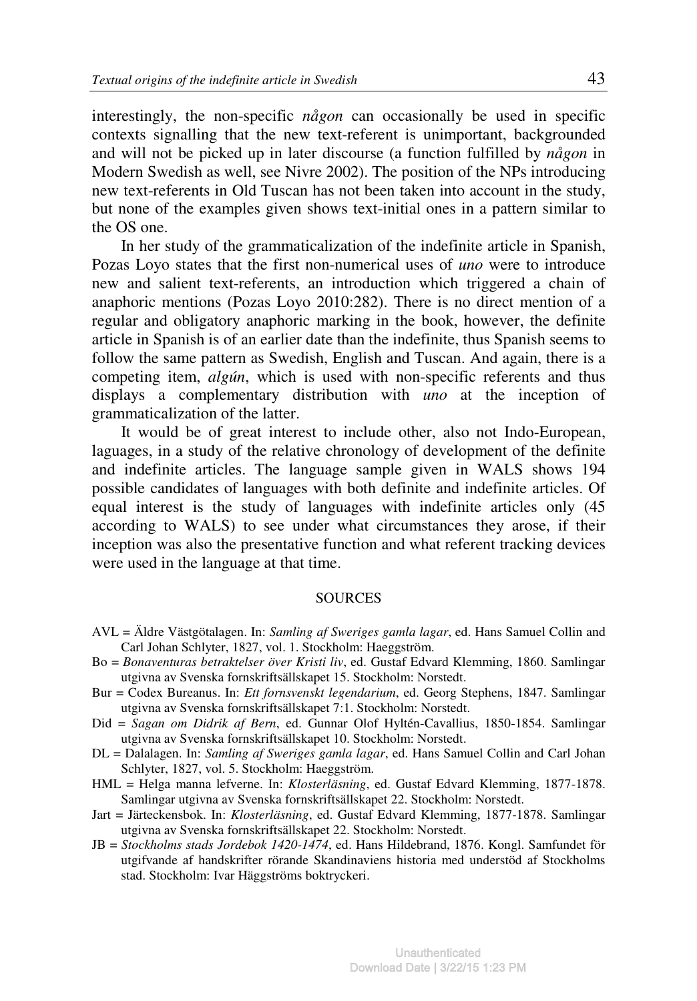interestingly, the non-specific *någon* can occasionally be used in specific contexts signalling that the new text-referent is unimportant, backgrounded and will not be picked up in later discourse (a function fulfilled by *någon* in Modern Swedish as well, see Nivre 2002). The position of the NPs introducing new text-referents in Old Tuscan has not been taken into account in the study, but none of the examples given shows text-initial ones in a pattern similar to the OS one.

In her study of the grammaticalization of the indefinite article in Spanish, Pozas Loyo states that the first non-numerical uses of *uno* were to introduce new and salient text-referents, an introduction which triggered a chain of anaphoric mentions (Pozas Loyo 2010:282). There is no direct mention of a regular and obligatory anaphoric marking in the book, however, the definite article in Spanish is of an earlier date than the indefinite, thus Spanish seems to follow the same pattern as Swedish, English and Tuscan. And again, there is a competing item, *algún*, which is used with non-specific referents and thus displays a complementary distribution with *uno* at the inception of grammaticalization of the latter.

It would be of great interest to include other, also not Indo-European, laguages, in a study of the relative chronology of development of the definite and indefinite articles. The language sample given in WALS shows 194 possible candidates of languages with both definite and indefinite articles. Of equal interest is the study of languages with indefinite articles only (45 according to WALS) to see under what circumstances they arose, if their inception was also the presentative function and what referent tracking devices were used in the language at that time.

#### **SOURCES**

- AVL = Äldre Västgötalagen. In: *Samling af Sweriges gamla lagar*, ed. Hans Samuel Collin and Carl Johan Schlyter, 1827, vol. 1. Stockholm: Haeggström.
- Bo = *Bonaventuras betraktelser över Kristi liv*, ed. Gustaf Edvard Klemming, 1860. Samlingar utgivna av Svenska fornskriftsällskapet 15. Stockholm: Norstedt.
- Bur = Codex Bureanus. In: *Ett fornsvenskt legendarium*, ed. Georg Stephens, 1847. Samlingar utgivna av Svenska fornskriftsällskapet 7:1. Stockholm: Norstedt.
- Did = *Sagan om Didrik af Bern*, ed. Gunnar Olof Hyltén-Cavallius, 1850-1854. Samlingar utgivna av Svenska fornskriftsällskapet 10. Stockholm: Norstedt.
- DL = Dalalagen. In: *Samling af Sweriges gamla lagar*, ed. Hans Samuel Collin and Carl Johan Schlyter, 1827, vol. 5. Stockholm: Haeggström.
- HML = Helga manna lefverne. In: *Klosterläsning*, ed. Gustaf Edvard Klemming, 1877-1878. Samlingar utgivna av Svenska fornskriftsällskapet 22. Stockholm: Norstedt.
- Jart = Järteckensbok. In: *Klosterläsning*, ed. Gustaf Edvard Klemming, 1877-1878. Samlingar utgivna av Svenska fornskriftsällskapet 22. Stockholm: Norstedt.
- JB = *Stockholms stads Jordebok 1420-1474*, ed. Hans Hildebrand, 1876. Kongl. Samfundet för utgifvande af handskrifter rörande Skandinaviens historia med understöd af Stockholms stad. Stockholm: Ivar Häggströms boktryckeri.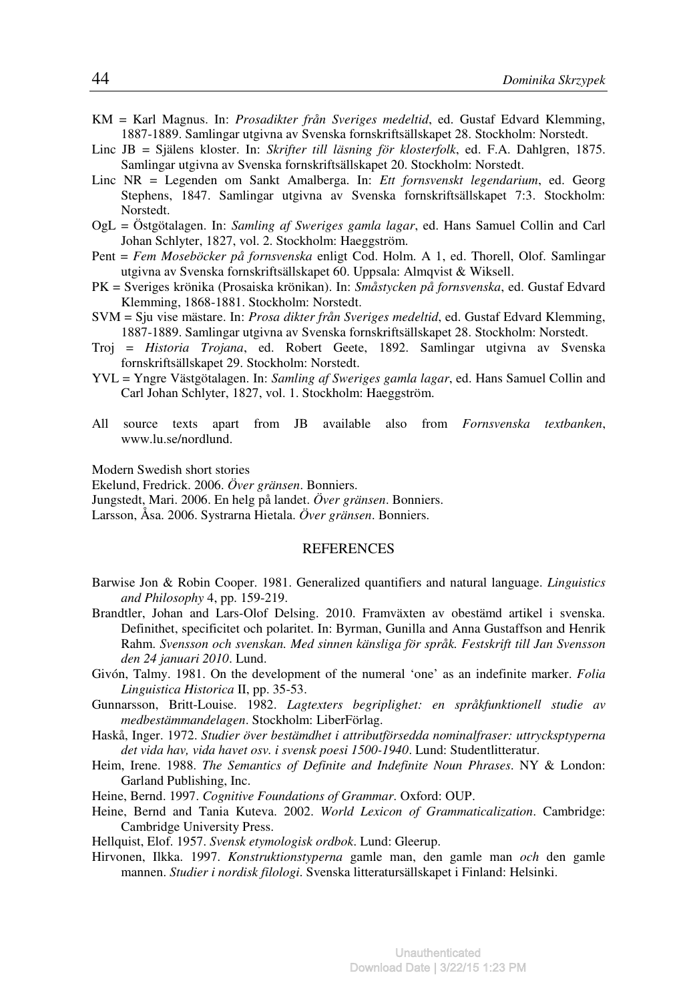- KM = Karl Magnus. In: *Prosadikter från Sveriges medeltid*, ed. Gustaf Edvard Klemming, 1887-1889. Samlingar utgivna av Svenska fornskriftsällskapet 28. Stockholm: Norstedt.
- Linc JB = Själens kloster. In: *Skrifter till läsning för klosterfolk*, ed. F.A. Dahlgren, 1875. Samlingar utgivna av Svenska fornskriftsällskapet 20. Stockholm: Norstedt.
- Linc NR = Legenden om Sankt Amalberga. In: *Ett fornsvenskt legendarium*, ed. Georg Stephens, 1847. Samlingar utgivna av Svenska fornskriftsällskapet 7:3. Stockholm: Norstedt.
- OgL = Östgötalagen. In: *Samling af Sweriges gamla lagar*, ed. Hans Samuel Collin and Carl Johan Schlyter, 1827, vol. 2. Stockholm: Haeggström.
- Pent = *Fem Moseböcker på fornsvenska* enligt Cod. Holm. A 1, ed. Thorell, Olof. Samlingar utgivna av Svenska fornskriftsällskapet 60. Uppsala: Almqvist & Wiksell.
- PK = Sveriges krönika (Prosaiska krönikan). In: *Småstycken på fornsvenska*, ed. Gustaf Edvard Klemming, 1868-1881. Stockholm: Norstedt.
- SVM = Sju vise mästare. In: *Prosa dikter från Sveriges medeltid*, ed. Gustaf Edvard Klemming, 1887-1889. Samlingar utgivna av Svenska fornskriftsällskapet 28. Stockholm: Norstedt.
- Troj = *Historia Trojana*, ed. Robert Geete, 1892. Samlingar utgivna av Svenska fornskriftsällskapet 29. Stockholm: Norstedt.
- YVL = Yngre Västgötalagen. In: *Samling af Sweriges gamla lagar*, ed. Hans Samuel Collin and Carl Johan Schlyter, 1827, vol. 1. Stockholm: Haeggström.
- All source texts apart from JB available also from *Fornsvenska textbanken*, www.lu.se/nordlund.

Modern Swedish short stories

Ekelund, Fredrick. 2006. *Över gränsen*. Bonniers.

Jungstedt, Mari. 2006. En helg på landet. *Över gränsen*. Bonniers.

Larsson, Åsa. 2006. Systrarna Hietala. *Över gränsen*. Bonniers.

#### REFERENCES

- Barwise Jon & Robin Cooper. 1981. Generalized quantifiers and natural language. *Linguistics and Philosophy* 4, pp. 159-219.
- Brandtler, Johan and Lars-Olof Delsing. 2010. Framväxten av obestämd artikel i svenska. Definithet, specificitet och polaritet. In: Byrman, Gunilla and Anna Gustaffson and Henrik Rahm. *Svensson och svenskan. Med sinnen känsliga för språk. Festskrift till Jan Svensson den 24 januari 2010*. Lund.
- Givón, Talmy. 1981. On the development of the numeral 'one' as an indefinite marker. *Folia Linguistica Historica* II, pp. 35-53.
- Gunnarsson, Britt-Louise. 1982. *Lagtexters begriplighet: en språkfunktionell studie av medbestämmandelagen*. Stockholm: LiberFörlag.
- Haskå, Inger. 1972. *Studier över bestämdhet i attributförsedda nominalfraser: uttrycksptyperna det vida hav, vida havet osv. i svensk poesi 1500-1940*. Lund: Studentlitteratur.
- Heim, Irene. 1988. *The Semantics of Definite and Indefinite Noun Phrases*. NY & London: Garland Publishing, Inc.
- Heine, Bernd. 1997. *Cognitive Foundations of Grammar*. Oxford: OUP.
- Heine, Bernd and Tania Kuteva. 2002. *World Lexicon of Grammaticalization*. Cambridge: Cambridge University Press.
- Hellquist, Elof. 1957. *Svensk etymologisk ordbok*. Lund: Gleerup.
- Hirvonen, Ilkka. 1997. *Konstruktionstyperna* gamle man, den gamle man *och* den gamle mannen. *Studier i nordisk filologi*. Svenska litteratursällskapet i Finland: Helsinki.